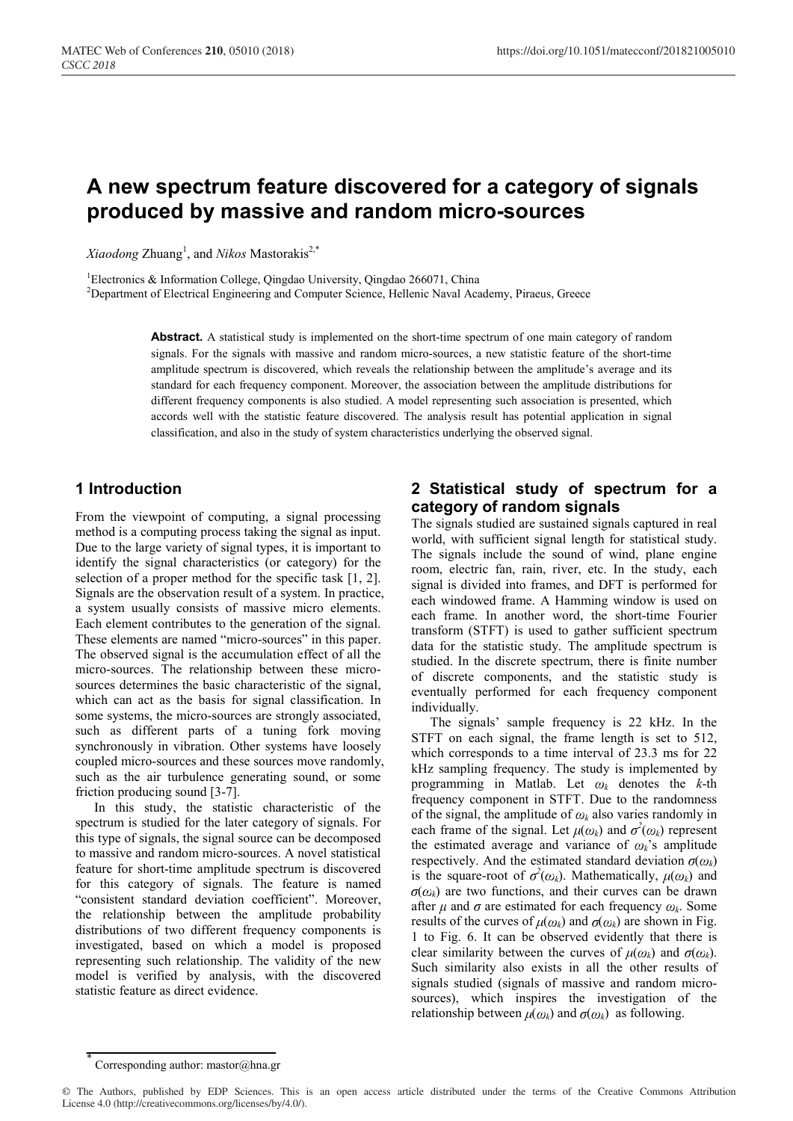# **A new spectrum feature discovered for a category of signals produced by massive and random micro-sources**

 $Xiaodong$  Zhuang<sup>1</sup>, and *Nikos* Mastorakis<sup>2,\*</sup>

<sup>1</sup>Electronics & Information College, Qingdao University, Qingdao 266071, China

2 Department of Electrical Engineering and Computer Science, Hellenic Naval Academy, Piraeus, Greece

**Abstract.** A statistical study is implemented on the short-time spectrum of one main category of random signals. For the signals with massive and random micro-sources, a new statistic feature of the short-time amplitude spectrum is discovered, which reveals the relationship between the amplitude's average and its standard for each frequency component. Moreover, the association between the amplitude distributions for different frequency components is also studied. A model representing such association is presented, which accords well with the statistic feature discovered. The analysis result has potential application in signal classification, and also in the study of system characteristics underlying the observed signal.

## **1 Introduction**

From the viewpoint of computing, a signal processing method is a computing process taking the signal as input. Due to the large variety of signal types, it is important to identify the signal characteristics (or category) for the selection of a proper method for the specific task [1, 2]. Signals are the observation result of a system. In practice, a system usually consists of massive micro elements. Each element contributes to the generation of the signal. These elements are named "micro-sources" in this paper. The observed signal is the accumulation effect of all the micro-sources. The relationship between these microsources determines the basic characteristic of the signal, which can act as the basis for signal classification. In some systems, the micro-sources are strongly associated, such as different parts of a tuning fork moving synchronously in vibration. Other systems have loosely coupled micro-sources and these sources move randomly, such as the air turbulence generating sound, or some friction producing sound [3-7].

In this study, the statistic characteristic of the spectrum is studied for the later category of signals. For this type of signals, the signal source can be decomposed to massive and random micro-sources. A novel statistical feature for short-time amplitude spectrum is discovered for this category of signals. The feature is named "consistent standard deviation coefficient". Moreover, the relationship between the amplitude probability distributions of two different frequency components is investigated, based on which a model is proposed representing such relationship. The validity of the new model is verified by analysis, with the discovered statistic feature as direct evidence.

### **2 Statistical study of spectrum for a category of random signals**

The signals studied are sustained signals captured in real world, with sufficient signal length for statistical study. The signals include the sound of wind, plane engine room, electric fan, rain, river, etc. In the study, each signal is divided into frames, and DFT is performed for each windowed frame. A Hamming window is used on each frame. In another word, the short-time Fourier transform (STFT) is used to gather sufficient spectrum data for the statistic study. The amplitude spectrum is studied. In the discrete spectrum, there is finite number of discrete components, and the statistic study is eventually performed for each frequency component individually.

The signals' sample frequency is 22 kHz. In the STFT on each signal, the frame length is set to 512, which corresponds to a time interval of 23.3 ms for 22 kHz sampling frequency. The study is implemented by programming in Matlab. Let  $\omega_k$  denotes the *k*-th frequency component in STFT. Due to the randomness of the signal, the amplitude of  $\omega_k$  also varies randomly in each frame of the signal. Let  $\mu(\omega_k)$  and  $\sigma^2(\omega_k)$  represent the estimated average and variance of  $\omega_k$ 's amplitude respectively. And the estimated standard deviation  $\sigma(\omega_k)$ is the square-root of  $\sigma^2(\omega_k)$ . Mathematically,  $\mu(\omega_k)$  and  $\sigma(\omega_k)$  are two functions, and their curves can be drawn after  $\mu$  and  $\sigma$  are estimated for each frequency  $\omega_k$ . Some results of the curves of  $\mu(\omega_k)$  and  $\sigma(\omega_k)$  are shown in Fig. 1 to Fig. 6. It can be observed evidently that there is clear similarity between the curves of  $\mu(\omega_k)$  and  $\sigma(\omega_k)$ . Such similarity also exists in all the other results of signals studied (signals of massive and random microsources), which inspires the investigation of the relationship between  $\mu(\omega_k)$  and  $\sigma(\omega_k)$  as following.

Corresponding author: mastor@hna.gr

<sup>©</sup> The Authors, published by EDP Sciences. This is an open access article distributed under the terms of the Creative Commons Attribution License 4.0 (http://creativecommons.org/licenses/by/4.0/).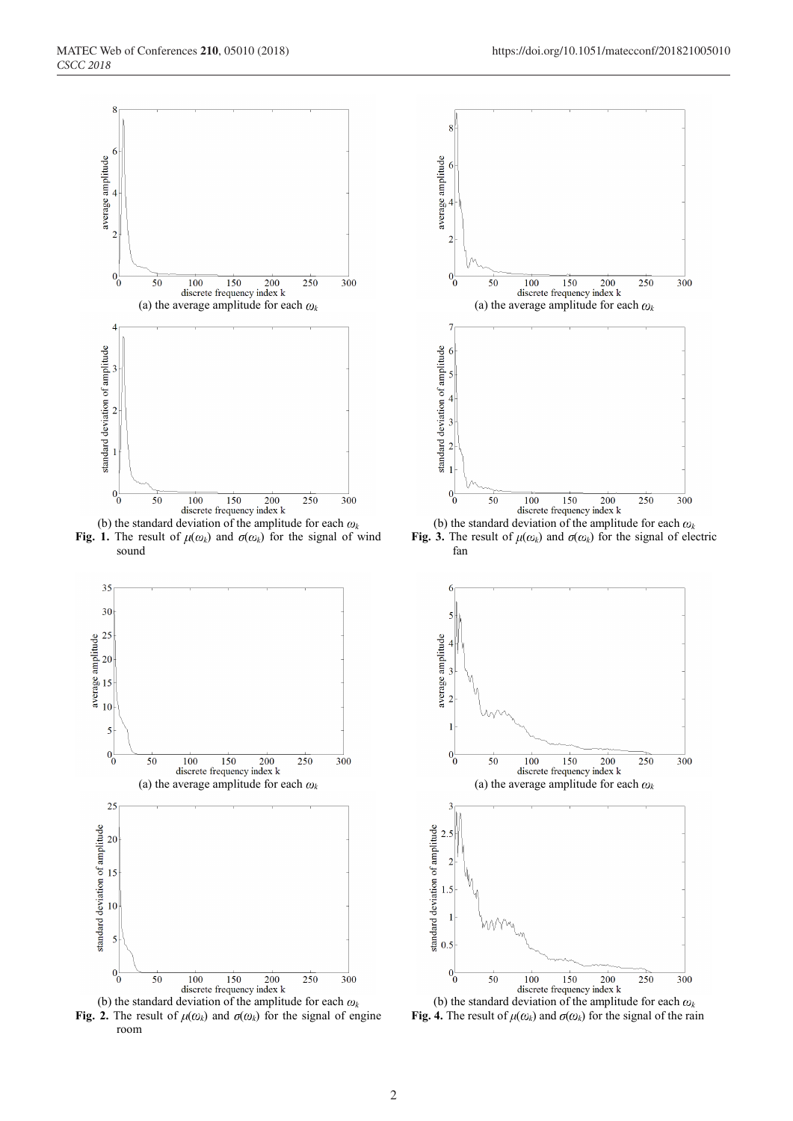

**Fig. 1.** The result of  $\mu(\omega_k)$  and  $\sigma(\omega_k)$  for the signal of wind sound



**Fig. 2.** The result of  $\mu(\omega_k)$  and  $\sigma(\omega_k)$  for the signal of engine room



**Fig. 3.** The result of  $\mu(\omega_k)$  and  $\sigma(\omega_k)$  for the signal of electric fan



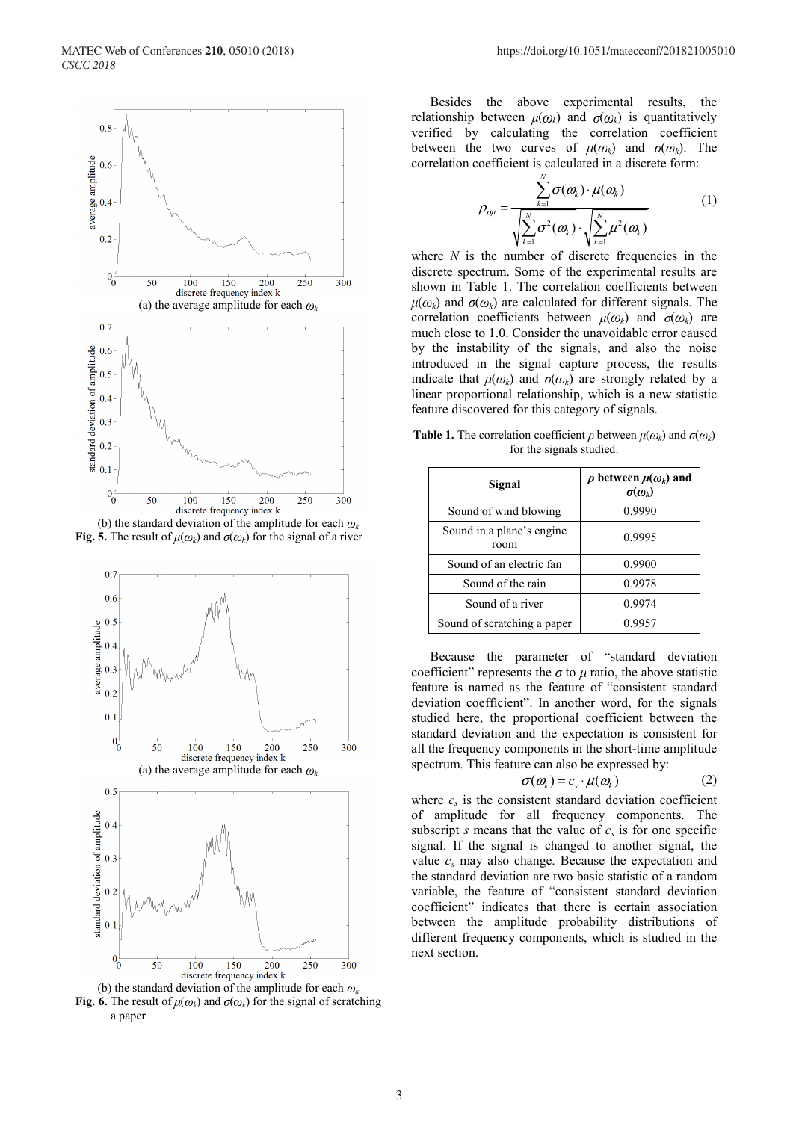

(b) the standard deviation of the amplitude for each  $\omega_k$ **Fig. 5.** The result of  $\mu(\omega_k)$  and  $\sigma(\omega_k)$  for the signal of a river



(b) the standard deviation of the amplitude for each  $\omega_k$ **Fig. 6.** The result of  $\mu(\omega_k)$  and  $\sigma(\omega_k)$  for the signal of scratching a paper

Besides the above experimental results, the relationship between  $\mu(\omega_k)$  and  $\sigma(\omega_k)$  is quantitatively verified by calculating the correlation coefficient between the two curves of  $\mu(\omega_k)$  and  $\sigma(\omega_k)$ . The correlation coefficient is calculated in a discrete form:

$$
\rho_{\sigma\mu} = \frac{\sum_{k=1}^{N} \sigma(\omega_k) \cdot \mu(\omega_k)}{\sqrt{\sum_{k=1}^{N} \sigma^2(\omega_k) \cdot \sqrt{\sum_{k=1}^{N} \mu^2(\omega_k)}}}
$$
(1)

where  $N$  is the number of discrete frequencies in the discrete spectrum. Some of the experimental results are shown in Table 1. The correlation coefficients between  $\mu(\omega_k)$  and  $\sigma(\omega_k)$  are calculated for different signals. The correlation coefficients between  $\mu(\omega_k)$  and  $\sigma(\omega_k)$  are much close to 1.0. Consider the unavoidable error caused by the instability of the signals, and also the noise introduced in the signal capture process, the results indicate that  $\mu(\omega_k)$  and  $\sigma(\omega_k)$  are strongly related by a linear proportional relationship, which is a new statistic feature discovered for this category of signals.

**Table 1.** The correlation coefficient  $\rho$  between  $\mu(\omega_k)$  and  $\sigma(\omega_k)$ for the signals studied.

| Signal                             | $\rho$ between $\mu(\omega_k)$ and<br>$\sigma(\omega_k)$ |
|------------------------------------|----------------------------------------------------------|
| Sound of wind blowing              | 0.9990                                                   |
| Sound in a plane's engine.<br>room | 0.9995                                                   |
| Sound of an electric fan           | 0.9900                                                   |
| Sound of the rain                  | 0.9978                                                   |
| Sound of a river                   | 0.9974                                                   |
| Sound of scratching a paper        | 0.9957                                                   |

Because the parameter of "standard deviation coefficient" represents the  $\sigma$  to  $\mu$  ratio, the above statistic feature is named as the feature of "consistent standard deviation coefficient". In another word, for the signals studied here, the proportional coefficient between the standard deviation and the expectation is consistent for all the frequency components in the short-time amplitude spectrum. This feature can also be expressed by:

$$
\sigma(\omega_k) = c_s \cdot \mu(\omega_k) \tag{2}
$$

where  $c_s$  is the consistent standard deviation coefficient of amplitude for all frequency components. The subscript *s* means that the value of  $c_s$  is for one specific signal. If the signal is changed to another signal, the value  $c_s$  may also change. Because the expectation and the standard deviation are two basic statistic of a random variable, the feature of "consistent standard deviation coefficient" indicates that there is certain association between the amplitude probability distributions of different frequency components, which is studied in the next section.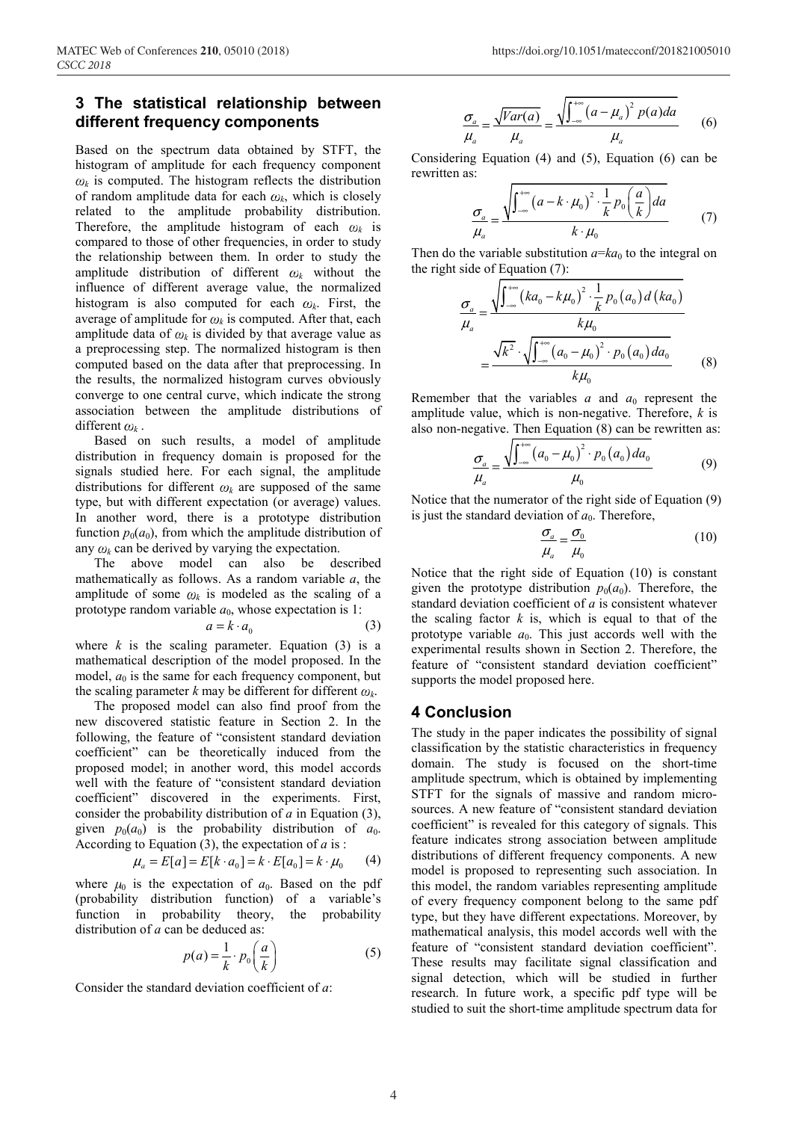### **3 The statistical relationship between different frequency components**

Based on the spectrum data obtained by STFT, the histogram of amplitude for each frequency component  $\omega_k$  is computed. The histogram reflects the distribution of random amplitude data for each  $\omega_k$ , which is closely related to the amplitude probability distribution. Therefore, the amplitude histogram of each  $\omega_k$  is compared to those of other frequencies, in order to study the relationship between them. In order to study the amplitude distribution of different  $\omega_k$  without the influence of different average value, the normalized histogram is also computed for each  $\omega_k$ . First, the average of amplitude for  $\omega_k$  is computed. After that, each amplitude data of  $\omega_k$  is divided by that average value as a preprocessing step. The normalized histogram is then computed based on the data after that preprocessing. In the results, the normalized histogram curves obviously converge to one central curve, which indicate the strong association between the amplitude distributions of different  $\omega_k$ .

Based on such results, a model of amplitude distribution in frequency domain is proposed for the signals studied here. For each signal, the amplitude distributions for different  $\omega_k$  are supposed of the same type, but with different expectation (or average) values. In another word, there is a prototype distribution function  $p_0(a_0)$ , from which the amplitude distribution of any  $\omega_k$  can be derived by varying the expectation.

The above model can also be described mathematically as follows. As a random variable *a*, the amplitude of some  $\omega_k$  is modeled as the scaling of a prototype random variable  $a_0$ , whose expectation is 1:

$$
a = k \cdot a_0 \tag{3}
$$

where  $k$  is the scaling parameter. Equation (3) is a mathematical description of the model proposed. In the model,  $a_0$  is the same for each frequency component, but the scaling parameter *k* may be different for different  $\omega_k$ .

The proposed model can also find proof from the new discovered statistic feature in Section 2. In the following, the feature of "consistent standard deviation coefficient" can be theoretically induced from the proposed model; in another word, this model accords well with the feature of "consistent standard deviation coefficient" discovered in the experiments. First, consider the probability distribution of *a* in Equation (3), given  $p_0(a_0)$  is the probability distribution of  $a_0$ . According to Equation (3), the expectation of *a* is :

$$
\mu_a = E[a] = E[k \cdot a_0] = k \cdot E[a_0] = k \cdot \mu_0 \tag{4}
$$

where  $\mu_0$  is the expectation of  $a_0$ . Based on the pdf (probability distribution function) of a variable's function in probability theory, the probability distribution of *a* can be deduced as:

$$
p(a) = \frac{1}{k} \cdot p_0\left(\frac{a}{k}\right) \tag{5}
$$

Consider the standard deviation coefficient of *a*:

$$
\frac{\sigma_a}{\mu_a} = \frac{\sqrt{Var(a)}}{\mu_a} = \frac{\sqrt{\int_{-\infty}^{+\infty} (a - \mu_a)^2 p(a)da}}{\mu_a}
$$
 (6)

Considering Equation (4) and (5), Equation (6) can be rewritten as:

$$
\frac{\sigma_a}{\mu_a} = \frac{\sqrt{\int_{-\infty}^{+\infty} (a - k \cdot \mu_0)^2 \cdot \frac{1}{k} p_0 \left(\frac{a}{k}\right) da}}{k \cdot \mu_0} \tag{7}
$$

Then do the variable substitution  $a=ka_0$  to the integral on the right side of Equation (7):

$$
\frac{\sigma_a}{\mu_a} = \frac{\sqrt{\int_{-\infty}^{+\infty} (ka_0 - k\mu_0)^2 \cdot \frac{1}{k} p_0(a_0) d (ka_0)}}{k\mu_0}
$$
\n
$$
= \frac{\sqrt{k^2} \cdot \sqrt{\int_{-\infty}^{+\infty} (a_0 - \mu_0)^2 \cdot p_0(a_0) da_0}}{k\mu_0}
$$
\n(8)

Remember that the variables  $a$  and  $a_0$  represent the amplitude value, which is non-negative. Therefore, *k* is also non-negative. Then Equation (8) can be rewritten as:

$$
\frac{\sigma_a}{\mu_a} = \frac{\sqrt{\int_{-\infty}^{+\infty} (a_0 - \mu_0)^2 \cdot p_0(a_0) da_0}}{\mu_0} \tag{9}
$$

Notice that the numerator of the right side of Equation (9) is just the standard deviation of  $a_0$ . Therefore,

$$
\frac{\sigma_a}{\mu_a} = \frac{\sigma_0}{\mu_0} \tag{10}
$$

Notice that the right side of Equation (10) is constant given the prototype distribution  $p_0(a_0)$ . Therefore, the standard deviation coefficient of *a* is consistent whatever the scaling factor  $k$  is, which is equal to that of the prototype variable  $a_0$ . This just accords well with the experimental results shown in Section 2. Therefore, the feature of "consistent standard deviation coefficient" supports the model proposed here.

#### **4 Conclusion**

The study in the paper indicates the possibility of signal classification by the statistic characteristics in frequency domain. The study is focused on the short-time amplitude spectrum, which is obtained by implementing STFT for the signals of massive and random microsources. A new feature of "consistent standard deviation coefficient" is revealed for this category of signals. This feature indicates strong association between amplitude distributions of different frequency components. A new model is proposed to representing such association. In this model, the random variables representing amplitude of every frequency component belong to the same pdf type, but they have different expectations. Moreover, by mathematical analysis, this model accords well with the feature of "consistent standard deviation coefficient". These results may facilitate signal classification and signal detection, which will be studied in further research. In future work, a specific pdf type will be studied to suit the short-time amplitude spectrum data for